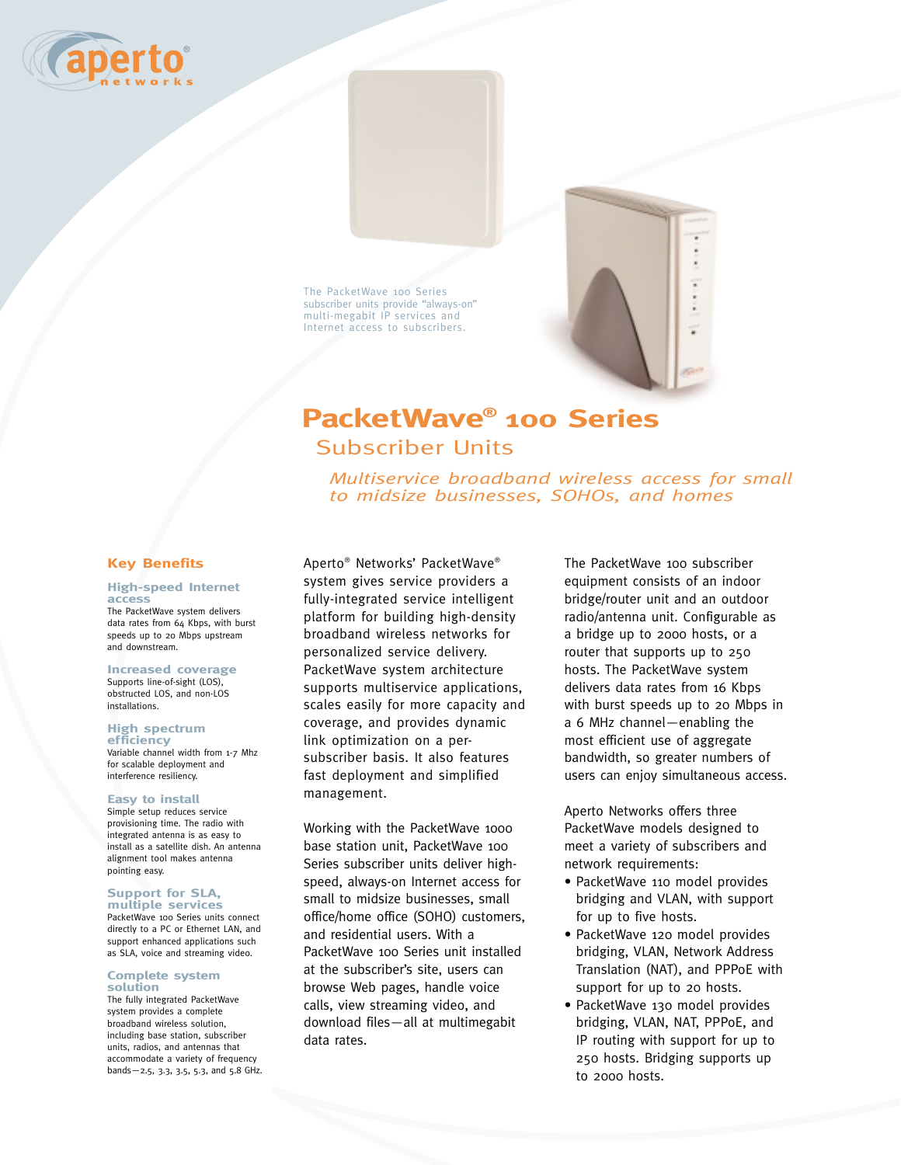

The PacketWave 100 Series subscriber units provide "always-on" multi-megabit IP services and Internet access to subscribers.

# **PacketWave® 100 Series** Subscriber Units

*Multiservice broadband wireless access for small to midsize businesses, SOHOs, and homes*

# **Key Benefits**

#### **High-speed Internet access**

The PacketWave system delivers data rates from 64 Kbps, with burst speeds up to 20 Mbps upstream and downstream.

# **Increased coverage**

Supports line-of-sight (LOS), obstructed LOS, and non-LOS installations.

# **High spectrum**

**efficiency** Variable channel width from 1-7 Mhz for scalable deployment and interference resiliency.

#### **Easy to install**

Simple setup reduces service provisioning time. The radio with integrated antenna is as easy to install as a satellite dish. An antenna alignment tool makes antenna pointing easy.

### **Support for SLA, multiple services**

PacketWave 100 Series units connect directly to a PC or Ethernet LAN, and support enhanced applications such as SLA, voice and streaming video.

#### **Complete system solution**

The fully integrated PacketWave system provides a complete broadband wireless solution, including base station, subscriber units, radios, and antennas that accommodate a variety of frequency bands—2.5, 3.3, 3.5, 5.3, and 5.8 GHz. Aperto® Networks' PacketWave® system gives service providers a fully-integrated service intelligent platform for building high-density broadband wireless networks for personalized service delivery. PacketWave system architecture supports multiservice applications, scales easily for more capacity and coverage, and provides dynamic link optimization on a persubscriber basis. It also features fast deployment and simplified management.

Working with the PacketWave 1000 base station unit, PacketWave 100 Series subscriber units deliver highspeed, always-on Internet access for small to midsize businesses, small office/home office (SOHO) customers, and residential users. With a PacketWave 100 Series unit installed at the subscriber's site, users can browse Web pages, handle voice calls, view streaming video, and download files—all at multimegabit data rates.

The PacketWave 100 subscriber equipment consists of an indoor bridge/router unit and an outdoor radio/antenna unit. Configurable as a bridge up to 2000 hosts, or a router that supports up to 250 hosts. The PacketWave system delivers data rates from 16 Kbps with burst speeds up to 20 Mbps in a 6 MHz channel—enabling the most efficient use of aggregate bandwidth, so greater numbers of users can enjoy simultaneous access.

Aperto Networks offers three PacketWave models designed to meet a variety of subscribers and network requirements:

- PacketWave 110 model provides bridging and VLAN, with support for up to five hosts.
- PacketWave 120 model provides bridging, VLAN, Network Address Translation (NAT), and PPPoE with support for up to 20 hosts.
- PacketWave 130 model provides bridging, VLAN, NAT, PPPoE, and IP routing with support for up to 250 hosts. Bridging supports up to 2000 hosts.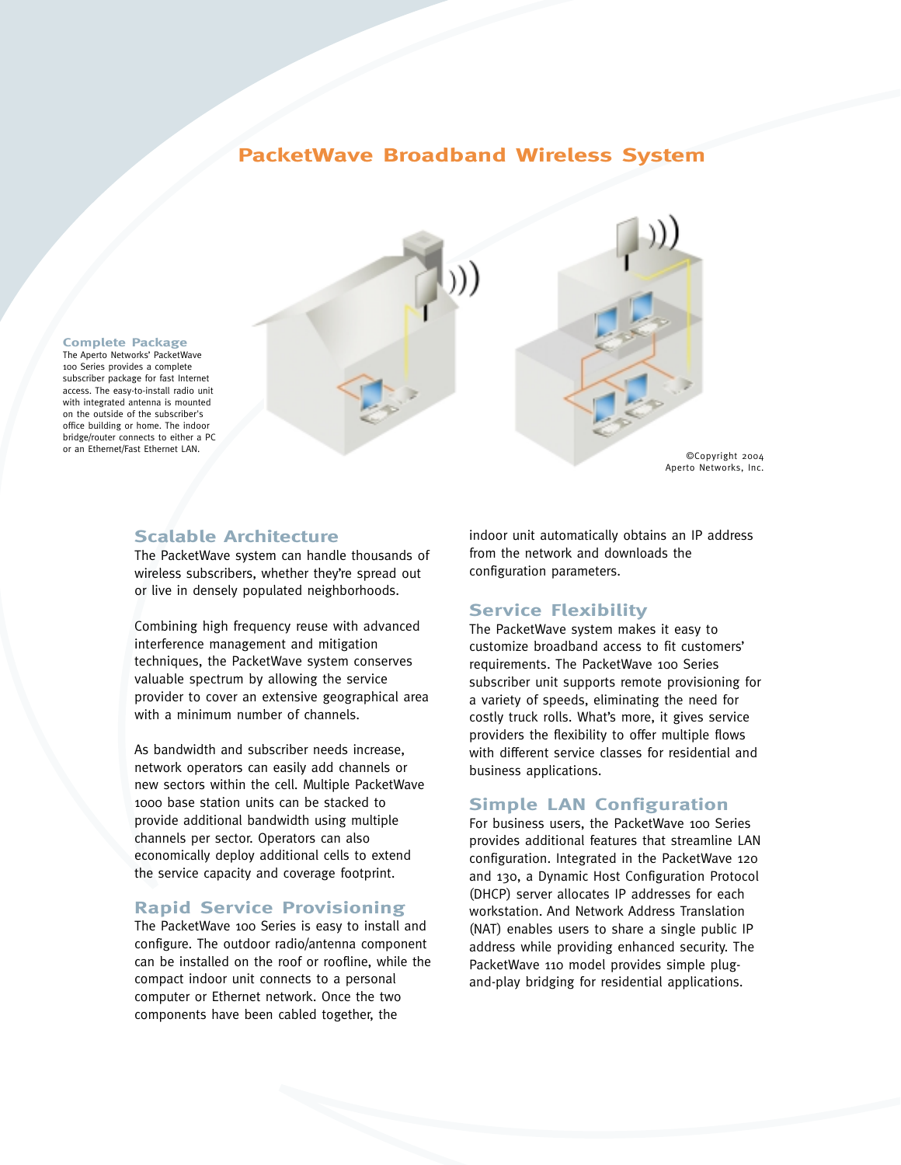# **PacketWave Broadband Wireless System**



#### **Complete Package** The Aperto Networks' PacketWave

100 Series provides a complete subscriber package for fast Internet access. The easy-to-install radio unit with integrated antenna is mounted on the outside of the subscriber's office building or home. The indoor bridge/router connects to either a PC

# **Scalable Architecture**

The PacketWave system can handle thousands of wireless subscribers, whether they're spread out or live in densely populated neighborhoods.

Combining high frequency reuse with advanced interference management and mitigation techniques, the PacketWave system conserves valuable spectrum by allowing the service provider to cover an extensive geographical area with a minimum number of channels.

As bandwidth and subscriber needs increase, network operators can easily add channels or new sectors within the cell. Multiple PacketWave 1000 base station units can be stacked to provide additional bandwidth using multiple channels per sector. Operators can also economically deploy additional cells to extend the service capacity and coverage footprint.

# **Rapid Service Provisioning**

The PacketWave 100 Series is easy to install and configure. The outdoor radio/antenna component can be installed on the roof or roofline, while the compact indoor unit connects to a personal computer or Ethernet network. Once the two components have been cabled together, the

indoor unit automatically obtains an IP address from the network and downloads the configuration parameters.

# **Service Flexibility**

The PacketWave system makes it easy to customize broadband access to fit customers' requirements. The PacketWave 100 Series subscriber unit supports remote provisioning for a variety of speeds, eliminating the need for costly truck rolls. What's more, it gives service providers the flexibility to offer multiple flows with different service classes for residential and business applications.

# **Simple LAN Configuration**

For business users, the PacketWave 100 Series provides additional features that streamline LAN configuration. Integrated in the PacketWave 120 and 130, a Dynamic Host Configuration Protocol (DHCP) server allocates IP addresses for each workstation. And Network Address Translation (NAT) enables users to share a single public IP address while providing enhanced security. The PacketWave 110 model provides simple plugand-play bridging for residential applications.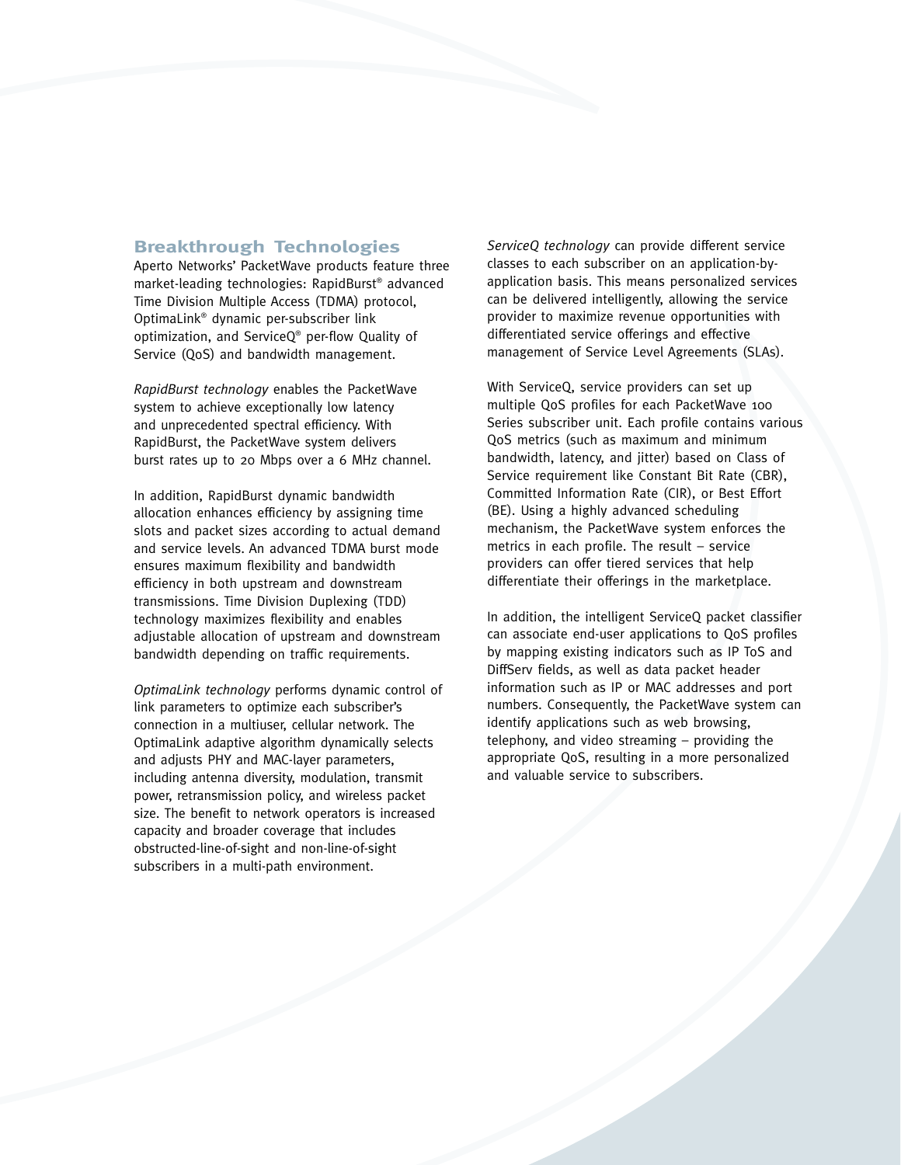# **Breakthrough Technologies**

Aperto Networks' PacketWave products feature three market-leading technologies: RapidBurst® advanced Time Division Multiple Access (TDMA) protocol, OptimaLink® dynamic per-subscriber link optimization, and ServiceQ® per-flow Quality of Service (QoS) and bandwidth management.

*RapidBurst technology* enables the PacketWave system to achieve exceptionally low latency and unprecedented spectral efficiency. With RapidBurst, the PacketWave system delivers burst rates up to 20 Mbps over a 6 MHz channel.

In addition, RapidBurst dynamic bandwidth allocation enhances efficiency by assigning time slots and packet sizes according to actual demand and service levels. An advanced TDMA burst mode ensures maximum flexibility and bandwidth efficiency in both upstream and downstream transmissions. Time Division Duplexing (TDD) technology maximizes flexibility and enables adjustable allocation of upstream and downstream bandwidth depending on traffic requirements.

*OptimaLink technology* performs dynamic control of link parameters to optimize each subscriber's connection in a multiuser, cellular network. The OptimaLink adaptive algorithm dynamically selects and adjusts PHY and MAC-layer parameters, including antenna diversity, modulation, transmit power, retransmission policy, and wireless packet size. The benefit to network operators is increased capacity and broader coverage that includes obstructed-line-of-sight and non-line-of-sight subscribers in a multi-path environment.

*ServiceQ technology* can provide different service classes to each subscriber on an application-byapplication basis. This means personalized services can be delivered intelligently, allowing the service provider to maximize revenue opportunities with differentiated service offerings and effective management of Service Level Agreements (SLAs).

With ServiceQ, service providers can set up multiple QoS profiles for each PacketWave 100 Series subscriber unit. Each profile contains various QoS metrics (such as maximum and minimum bandwidth, latency, and jitter) based on Class of Service requirement like Constant Bit Rate (CBR), Committed Information Rate (CIR), or Best Effort (BE). Using a highly advanced scheduling mechanism, the PacketWave system enforces the metrics in each profile. The result – service providers can offer tiered services that help differentiate their offerings in the marketplace.

In addition, the intelligent ServiceQ packet classifier can associate end-user applications to QoS profiles by mapping existing indicators such as IP ToS and DiffServ fields, as well as data packet header information such as IP or MAC addresses and port numbers. Consequently, the PacketWave system can identify applications such as web browsing, telephony, and video streaming – providing the appropriate QoS, resulting in a more personalized and valuable service to subscribers.